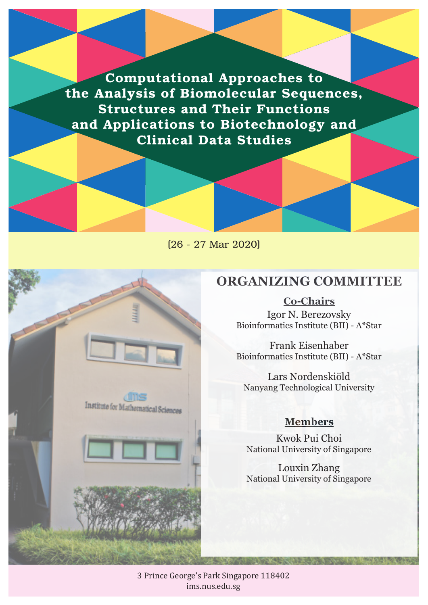Computational Approaches to the Analysis of Biomolecular Sequences, Structures and Their Functions and Applications to Biotechnology and Clinical Data Studies





## **ORGANIZING COMMITTEE**

## **Co-Chairs**

Igor N. Berezovsky Bioinformatics Institute (BII) - A\*Star

Frank Eisenhaber Bioinformatics Institute (BII) - A\*Star

Lars Nordenskiöld Nanyang Technological University

## **Members**

Kwok Pui Choi National University of Singapore

Louxin Zhang National University of Singapore

3 Prince George's Park Singapore 118402 ims.nus.edu.sg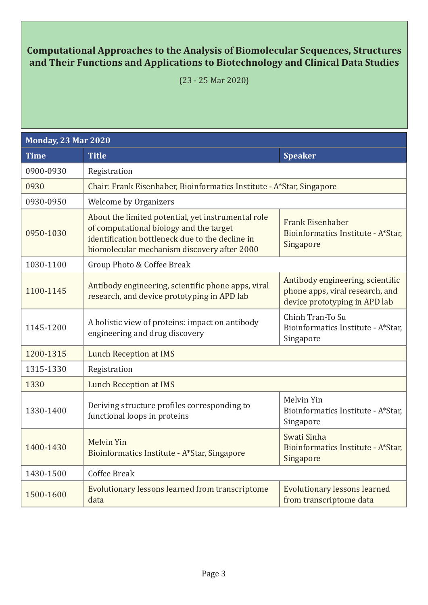## **Computational Approaches to the Analysis of Biomolecular Sequences, Structures and Their Functions and Applications to Biotechnology and Clinical Data Studies**

(23 - 25 Mar 2020)

| <b>Monday, 23 Mar 2020</b> |                                                                                                                                                                                                 |                                                                                                      |  |  |
|----------------------------|-------------------------------------------------------------------------------------------------------------------------------------------------------------------------------------------------|------------------------------------------------------------------------------------------------------|--|--|
| <b>Time</b>                | <b>Title</b>                                                                                                                                                                                    | <b>Speaker</b>                                                                                       |  |  |
| 0900-0930                  | Registration                                                                                                                                                                                    |                                                                                                      |  |  |
| 0930                       | Chair: Frank Eisenhaber, Bioinformatics Institute - A*Star, Singapore                                                                                                                           |                                                                                                      |  |  |
| 0930-0950                  | <b>Welcome by Organizers</b>                                                                                                                                                                    |                                                                                                      |  |  |
| 0950-1030                  | About the limited potential, yet instrumental role<br>of computational biology and the target<br>identification bottleneck due to the decline in<br>biomolecular mechanism discovery after 2000 | <b>Frank Eisenhaber</b><br>Bioinformatics Institute - A*Star,<br>Singapore                           |  |  |
| 1030-1100                  | Group Photo & Coffee Break                                                                                                                                                                      |                                                                                                      |  |  |
| 1100-1145                  | Antibody engineering, scientific phone apps, viral<br>research, and device prototyping in APD lab                                                                                               | Antibody engineering, scientific<br>phone apps, viral research, and<br>device prototyping in APD lab |  |  |
| 1145-1200                  | A holistic view of proteins: impact on antibody<br>engineering and drug discovery                                                                                                               | Chinh Tran-To Su<br>Bioinformatics Institute - A*Star,<br>Singapore                                  |  |  |
| 1200-1315                  | <b>Lunch Reception at IMS</b>                                                                                                                                                                   |                                                                                                      |  |  |
| 1315-1330                  | Registration                                                                                                                                                                                    |                                                                                                      |  |  |
| 1330                       | <b>Lunch Reception at IMS</b>                                                                                                                                                                   |                                                                                                      |  |  |
| 1330-1400                  | Deriving structure profiles corresponding to<br>functional loops in proteins                                                                                                                    | Melvin Yin<br>Bioinformatics Institute - A*Star,<br>Singapore                                        |  |  |
| 1400-1430                  | <b>Melvin Yin</b><br>Bioinformatics Institute - A*Star, Singapore                                                                                                                               | Swati Sinha<br>Bioinformatics Institute - A*Star,<br>Singapore                                       |  |  |
| 1430-1500                  | <b>Coffee Break</b>                                                                                                                                                                             |                                                                                                      |  |  |
| 1500-1600                  | Evolutionary lessons learned from transcriptome<br>data                                                                                                                                         | <b>Evolutionary lessons learned</b><br>from transcriptome data                                       |  |  |